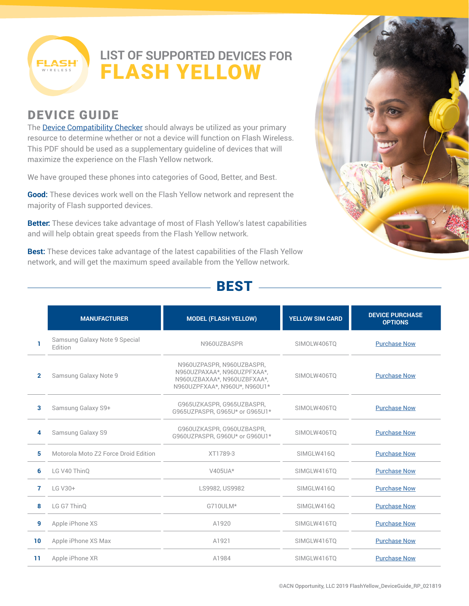

## **LIST OF SUPPORTED DEVICES FOR** FLASH YELLOW

## DEVICE GUIDE

The **Device Compatibility Checker** should always be utilized as your primary resource to determine whether or not a device will function on Flash Wireless. This PDF should be used as a supplementary guideline of devices that will maximize the experience on the Flash Yellow network.

We have grouped these phones into categories of Good, Better, and Best.

**Good:** These devices work well on the Flash Yellow network and represent the majority of Flash supported devices.

**Better:** These devices take advantage of most of Flash Yellow's latest capabilities and will help obtain great speeds from the Flash Yellow network.

**Best:** These devices take advantage of the latest capabilities of the Flash Yellow network, and will get the maximum speed available from the Yellow network.



### BEST

|                | <b>MANUFACTURER</b>                      | <b>MODEL (FLASH YELLOW)</b>                                                                                              | <b>YELLOW SIM CARD</b> | <b>DEVICE PURCHASE</b><br><b>OPTIONS</b> |
|----------------|------------------------------------------|--------------------------------------------------------------------------------------------------------------------------|------------------------|------------------------------------------|
|                | Samsung Galaxy Note 9 Special<br>Edition | N960UZBASPR                                                                                                              | SIMOLW406TQ            | <b>Purchase Now</b>                      |
| $\overline{2}$ | Samsung Galaxy Note 9                    | N960UZPASPR, N960UZBASPR,<br>N960UZPAXAA*, N960UZPFXAA*,<br>N960UZBAXAA*, N960UZBFXAA*,<br>N960UZPFXAA*, N960U*, N960U1* | SIMOLW406TO            | <b>Purchase Now</b>                      |
| 3              | Samsung Galaxy S9+                       | G965UZKASPR, G965UZBASPR,<br>G965UZPASPR, G965U* or G965U1*                                                              | SIMOLW406TO            | <b>Purchase Now</b>                      |
| 4              | Samsung Galaxy S9                        | G960UZKASPR, G960UZBASPR,<br>G960UZPASPR, G960U* or G960U1*                                                              | SIMOLW406TO            | <b>Purchase Now</b>                      |
| 5              | Motorola Moto Z2 Force Droid Edition     | XT1789-3                                                                                                                 | SIMGLW416Q             | <b>Purchase Now</b>                      |
| 6              | LG V40 ThinO                             | $V405UA*$                                                                                                                | SIMGLW416TQ            | <b>Purchase Now</b>                      |
| 7              | LG V30+                                  | LS9982, US9982                                                                                                           | SIMGLW416Q             | <b>Purchase Now</b>                      |
| 8              | LG G7 ThinO                              | G710ULM*                                                                                                                 | SIMGLW4160             | <b>Purchase Now</b>                      |
| 9              | Apple iPhone XS                          | A1920                                                                                                                    | SIMGLW416TO            | <b>Purchase Now</b>                      |
| 10             | Apple iPhone XS Max                      | A1921                                                                                                                    | SIMGLW416TQ            | <b>Purchase Now</b>                      |
| 11             | Apple iPhone XR                          | A1984                                                                                                                    | SIMGLW416TO            | <b>Purchase Now</b>                      |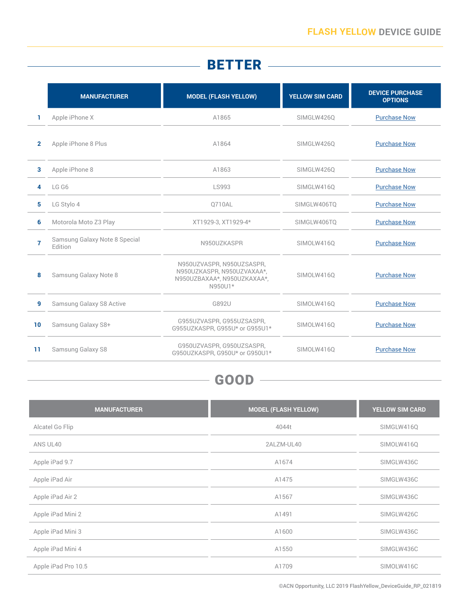# **BETTER**

|                | <b>MANUFACTURER</b>                      | <b>MODEL (FLASH YELLOW)</b>                                                                       | <b>YELLOW SIM CARD</b> | <b>DEVICE PURCHASE</b><br><b>OPTIONS</b> |
|----------------|------------------------------------------|---------------------------------------------------------------------------------------------------|------------------------|------------------------------------------|
| 1.             | Apple iPhone X                           | A1865                                                                                             | SIMGLW426Q             | <b>Purchase Now</b>                      |
| $\overline{2}$ | Apple iPhone 8 Plus                      | A1864                                                                                             | SIMGLW426Q             | <b>Purchase Now</b>                      |
| 3              | Apple iPhone 8                           | A1863                                                                                             | SIMGLW426Q             | <b>Purchase Now</b>                      |
| 4              | LG G6                                    | LS993                                                                                             | SIMGLW416Q             | <b>Purchase Now</b>                      |
| 5              | LG Stylo 4                               | 0710AL                                                                                            | SIMGLW406TO            | <b>Purchase Now</b>                      |
| 6              | Motorola Moto Z3 Play                    | XT1929-3, XT1929-4*                                                                               | SIMGLW406TO            | <b>Purchase Now</b>                      |
| $\overline{7}$ | Samsung Galaxy Note 8 Special<br>Edition | N950UZKASPR                                                                                       | SIMOLW416Q             | <b>Purchase Now</b>                      |
| 8              | Samsung Galaxy Note 8                    | N950UZVASPR, N950UZSASPR,<br>N950UZKASPR, N950UZVAXAA*,<br>N950UZBAXAA*, N950UZKAXAA*,<br>N950U1* | SIMOLW4160             | <b>Purchase Now</b>                      |
| 9              | Samsung Galaxy S8 Active                 | G892U                                                                                             | SIMOLW416Q             | <b>Purchase Now</b>                      |
| 10             | Samsung Galaxy S8+                       | G955UZVASPR, G955UZSASPR,<br>G955UZKASPR, G955U* or G955U1*                                       | SIMOLW4160             | <b>Purchase Now</b>                      |
| 11             | Samsung Galaxy S8                        | G950UZVASPR, G950UZSASPR,<br>G950UZKASPR. G950U* or G950U1*                                       | SIMOLW4160             | <b>Purchase Now</b>                      |

# - GOOD ——————————

| <b>MANUFACTURER</b> | <b>MODEL (FLASH YELLOW)</b> | <b>YELLOW SIM CARD</b> |
|---------------------|-----------------------------|------------------------|
| Alcatel Go Flip     | 4044t                       | SIMGLW416Q             |
| ANS UL40            | 2ALZM-UL40                  | SIMOLW416Q             |
| Apple iPad 9.7      | A1674                       | SIMGLW436C             |
| Apple iPad Air      | A1475                       | SIMGLW436C             |
| Apple iPad Air 2    | A1567                       | SIMGLW436C             |
| Apple iPad Mini 2   | A1491                       | SIMGLW426C             |
| Apple iPad Mini 3   | A1600                       | SIMGLW436C             |
| Apple iPad Mini 4   | A1550                       | SIMGLW436C             |
| Apple iPad Pro 10.5 | A1709                       | SIMOLW416C             |

©ACN Opportunity, LLC 2019 FlashYellow\_DeviceGuide\_RP\_021819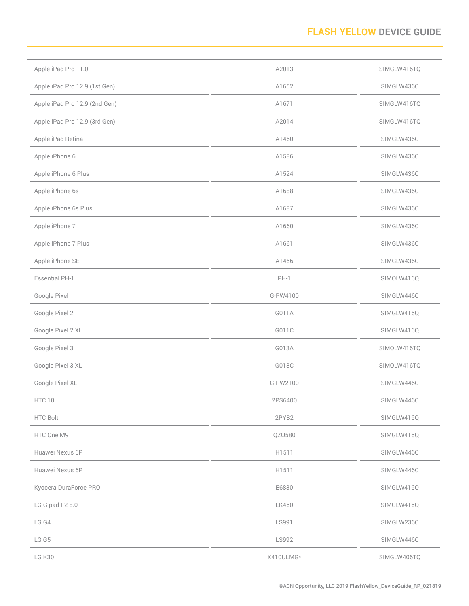### **FLASH YELLOW DEVICE GUIDE**

| Apple iPad Pro 11.0           | A2013        | SIMGLW416TQ |
|-------------------------------|--------------|-------------|
| Apple iPad Pro 12.9 (1st Gen) | A1652        | SIMGLW436C  |
| Apple iPad Pro 12.9 (2nd Gen) | A1671        | SIMGLW416TQ |
| Apple iPad Pro 12.9 (3rd Gen) | A2014        | SIMGLW416TQ |
| Apple iPad Retina             | A1460        | SIMGLW436C  |
| Apple iPhone 6                | A1586        | SIMGLW436C  |
| Apple iPhone 6 Plus           | A1524        | SIMGLW436C  |
| Apple iPhone 6s               | A1688        | SIMGLW436C  |
| Apple iPhone 6s Plus          | A1687        | SIMGLW436C  |
| Apple iPhone 7                | A1660        | SIMGLW436C  |
| Apple iPhone 7 Plus           | A1661        | SIMGLW436C  |
| Apple iPhone SE               | A1456        | SIMGLW436C  |
| <b>Essential PH-1</b>         | $PH-1$       | SIMOLW416Q  |
| Google Pixel                  | G-PW4100     | SIMGLW446C  |
| Google Pixel 2                | G011A        | SIMGLW416Q  |
| Google Pixel 2 XL             | G011C        | SIMGLW416Q  |
| Google Pixel 3                | G013A        | SIMOLW416TQ |
| Google Pixel 3 XL             | G013C        | SIMOLW416TQ |
| Google Pixel XL               | G-PW2100     | SIMGLW446C  |
| HTC 10                        | 2PS6400      | SIMGLW446C  |
| HTC Bolt                      | 2PYB2        | SIMGLW416Q  |
| HTC One M9                    | QZU580       | SIMGLW416Q  |
| Huawei Nexus 6P               | H1511        | SIMGLW446C  |
| Huawei Nexus 6P               | H1511        | SIMGLW446C  |
| Kyocera DuraForce PRO         | E6830        | SIMGLW416Q  |
| LG G pad F2 8.0               | <b>LK460</b> | SIMGLW416Q  |
| LG G4                         | LS991        | SIMGLW236C  |
| LG G5                         | LS992        | SIMGLW446C  |
| LG K30                        | X410ULMG*    | SIMGLW406TQ |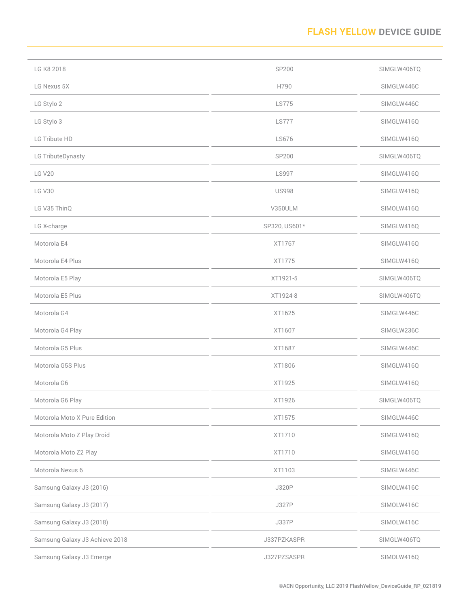### **FLASH YELLOW DEVICE GUIDE**

| LG K8 2018                     | SP200         | SIMGLW406TQ |
|--------------------------------|---------------|-------------|
| LG Nexus 5X                    | H790          | SIMGLW446C  |
| LG Stylo 2                     | <b>LS775</b>  | SIMGLW446C  |
| LG Stylo 3                     | <b>LS777</b>  | SIMGLW416Q  |
| LG Tribute HD                  | <b>LS676</b>  | SIMGLW416Q  |
| LG TributeDynasty              | SP200         | SIMGLW406TQ |
| <b>LG V20</b>                  | <b>LS997</b>  | SIMGLW416Q  |
| <b>LG V30</b>                  | <b>US998</b>  | SIMGLW416Q  |
| LG V35 ThinQ                   | V350ULM       | SIMOLW416Q  |
| LG X-charge                    | SP320, US601* | SIMGLW416Q  |
| Motorola E4                    | XT1767        | SIMGLW416Q  |
| Motorola E4 Plus               | XT1775        | SIMGLW416Q  |
| Motorola E5 Play               | XT1921-5      | SIMGLW406TQ |
| Motorola E5 Plus               | XT1924-8      | SIMGLW406TQ |
| Motorola G4                    | XT1625        | SIMGLW446C  |
| Motorola G4 Play               | XT1607        | SIMGLW236C  |
| Motorola G5 Plus               | XT1687        | SIMGLW446C  |
| Motorola G5S Plus              | XT1806        | SIMGLW416Q  |
| Motorola G6                    | XT1925        | SIMGLW416Q  |
| Motorola G6 Play               | XT1926        | SIMGLW406TQ |
| Motorola Moto X Pure Edition   | XT1575        | SIMGLW446C  |
| Motorola Moto Z Play Droid     | XT1710        | SIMGLW416Q  |
| Motorola Moto Z2 Play          | XT1710        | SIMGLW416Q  |
| Motorola Nexus 6               | XT1103        | SIMGLW446C  |
| Samsung Galaxy J3 (2016)       | J320P         | SIMOLW416C  |
| Samsung Galaxy J3 (2017)       | <b>J327P</b>  | SIMOLW416C  |
| Samsung Galaxy J3 (2018)       | <b>J337P</b>  | SIMOLW416C  |
| Samsung Galaxy J3 Achieve 2018 | J337PZKASPR   | SIMGLW406TQ |
| Samsung Galaxy J3 Emerge       | J327PZSASPR   | SIMOLW416Q  |